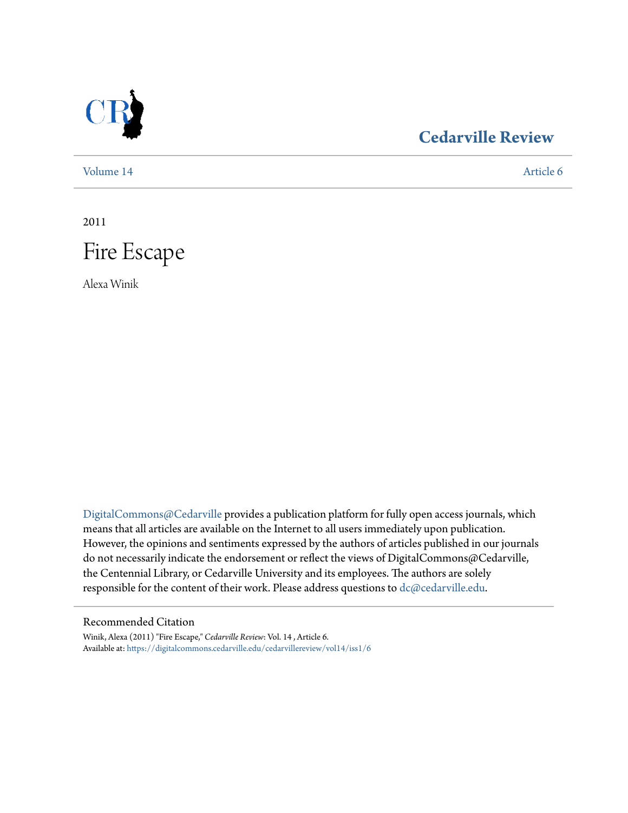

## **[Cedarville Review](https://digitalcommons.cedarville.edu/cedarvillereview?utm_source=digitalcommons.cedarville.edu%2Fcedarvillereview%2Fvol14%2Fiss1%2F6&utm_medium=PDF&utm_campaign=PDFCoverPages)**

[Volume 14](https://digitalcommons.cedarville.edu/cedarvillereview/vol14?utm_source=digitalcommons.cedarville.edu%2Fcedarvillereview%2Fvol14%2Fiss1%2F6&utm_medium=PDF&utm_campaign=PDFCoverPages) [Article 6](https://digitalcommons.cedarville.edu/cedarvillereview/vol14/iss1/6?utm_source=digitalcommons.cedarville.edu%2Fcedarvillereview%2Fvol14%2Fiss1%2F6&utm_medium=PDF&utm_campaign=PDFCoverPages)

2011



Alexa Winik

[DigitalCommons@Cedarville](http://digitalcommons.cedarville.edu) provides a publication platform for fully open access journals, which means that all articles are available on the Internet to all users immediately upon publication. However, the opinions and sentiments expressed by the authors of articles published in our journals do not necessarily indicate the endorsement or reflect the views of DigitalCommons@Cedarville, the Centennial Library, or Cedarville University and its employees. The authors are solely responsible for the content of their work. Please address questions to [dc@cedarville.edu](mailto:dc@cedarville.edu).

#### Recommended Citation

Winik, Alexa (2011) "Fire Escape," *Cedarville Review*: Vol. 14 , Article 6. Available at: [https://digitalcommons.cedarville.edu/cedarvillereview/vol14/iss1/6](https://digitalcommons.cedarville.edu/cedarvillereview/vol14/iss1/6?utm_source=digitalcommons.cedarville.edu%2Fcedarvillereview%2Fvol14%2Fiss1%2F6&utm_medium=PDF&utm_campaign=PDFCoverPages)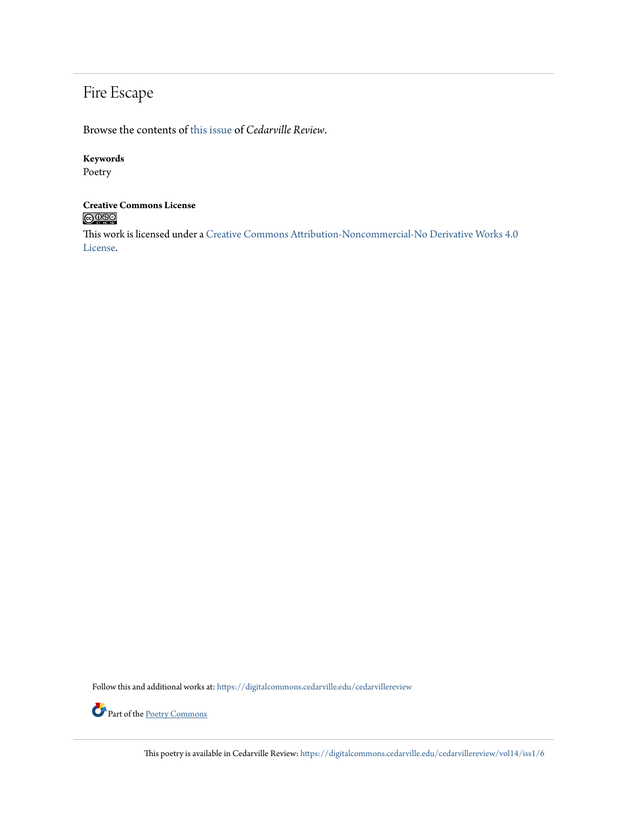# Fire Escape

Browse the contents of [this issue](https://digitalcommons.cedarville.edu/cedarvillereview/vol14/iss1) of *Cedarville Review*.

#### **Keywords**

Poetry

#### **Creative Commons License**  $\bigcirc$  000

This work is licensed under a [Creative Commons Attribution-Noncommercial-No Derivative Works 4.0](http://creativecommons.org/licenses/by-nc-nd/4.0/) [License.](http://creativecommons.org/licenses/by-nc-nd/4.0/)

Follow this and additional works at: [https://digitalcommons.cedarville.edu/cedarvillereview](https://digitalcommons.cedarville.edu/cedarvillereview?utm_source=digitalcommons.cedarville.edu%2Fcedarvillereview%2Fvol14%2Fiss1%2F6&utm_medium=PDF&utm_campaign=PDFCoverPages)



This poetry is available in Cedarville Review: [https://digitalcommons.cedarville.edu/cedarvillereview/vol14/iss1/6](https://digitalcommons.cedarville.edu/cedarvillereview/vol14/iss1/6?utm_source=digitalcommons.cedarville.edu%2Fcedarvillereview%2Fvol14%2Fiss1%2F6&utm_medium=PDF&utm_campaign=PDFCoverPages)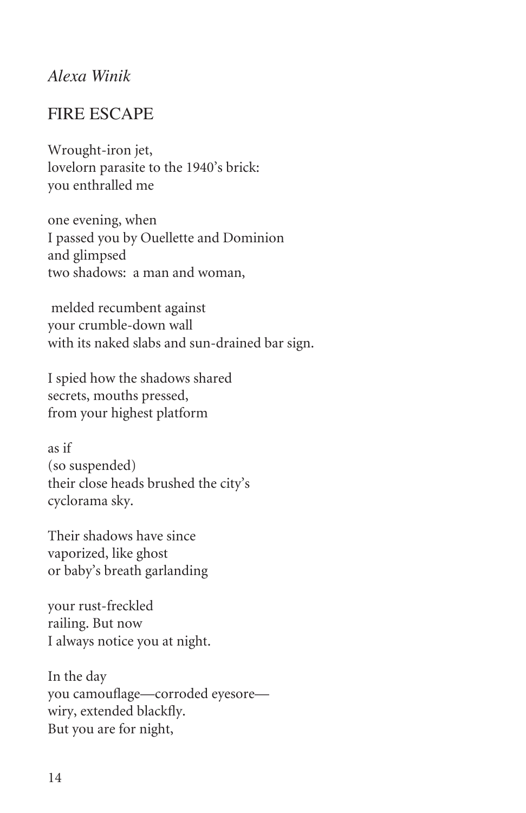#### *Alexa Winik*

### Fire Escape

Wrought-iron jet, lovelorn parasite to the 1940's brick: you enthralled me

one evening, when I passed you by Ouellette and Dominion and glimpsed two shadows: a man and woman,

 melded recumbent against your crumble-down wall with its naked slabs and sun-drained bar sign.

I spied how the shadows shared secrets, mouths pressed, from your highest platform

as if (so suspended) their close heads brushed the city's cyclorama sky.

Their shadows have since vaporized, like ghost or baby's breath garlanding

your rust-freckled railing. But now I always notice you at night.

In the day you camouflage—corroded eyesore wiry, extended blackfly. But you are for night,